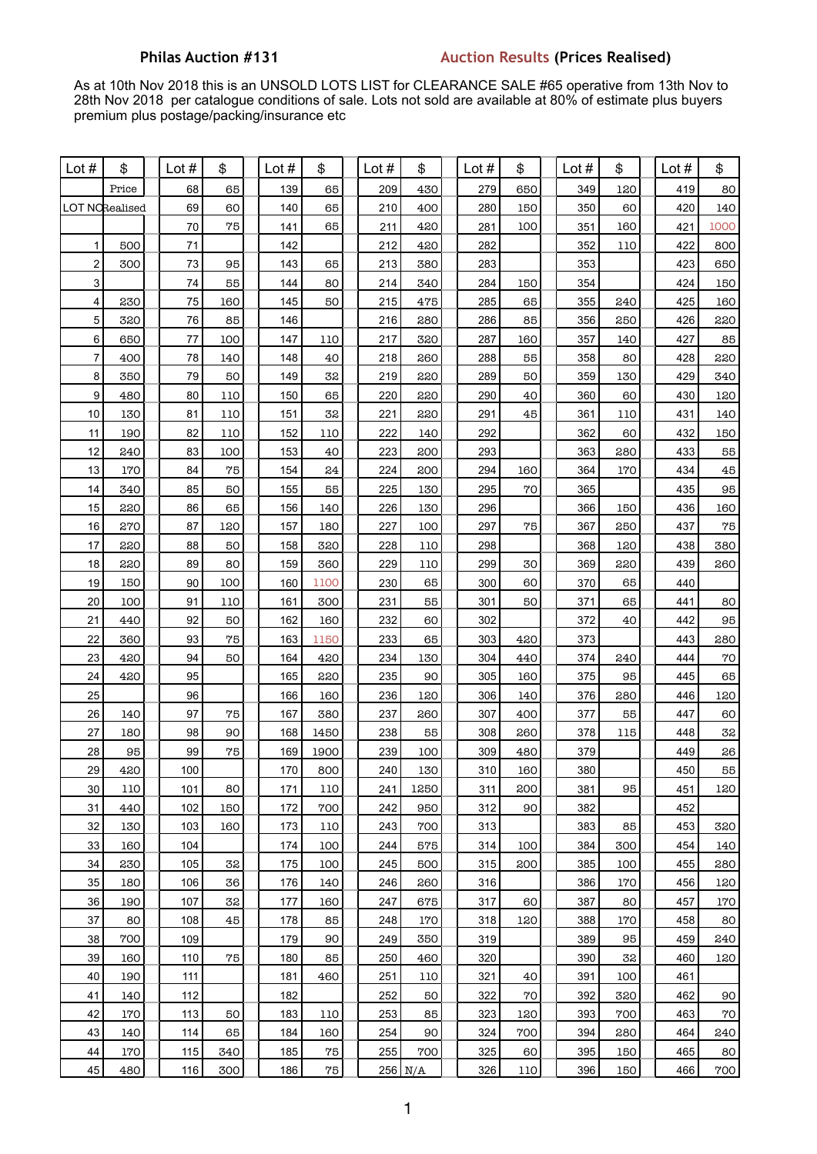## **Philas Auction #131 Auction Results (Prices Realised)**

As at 10th Nov 2018 this is an UNSOLD LOTS LIST for CLEARANCE SALE #65 operative from 13th Nov to 28th Nov 2018 per catalogue conditions of sale. Lots not sold are available at 80% of estimate plus buyers premium plus postage/packing/insurance etc

| Lot $#$                 | \$                    | Lot $#$  | \$     | Lot $#$    | \$         | Lot #      | \$        | Lot #      | \$         | Lot $#$    | \$        | Lot $#$    | \$       |
|-------------------------|-----------------------|----------|--------|------------|------------|------------|-----------|------------|------------|------------|-----------|------------|----------|
|                         | Price                 | 68       | 65     | 139        | 65         | 209        | 430       | 279        | 650        | 349        | 120       | 419        | 80       |
|                         | <b>LOT NORealised</b> | 69       | 60     | 140        | 65         | 210        | 400       | 280        | 150        | 350        | 60        | 420        | 140      |
|                         |                       | $70\,$   | 75     | 141        | 65         | 211        | 420       | 281        | 100        | 351        | 160       | 421        | 1000     |
| 1                       | 500                   | 71       |        | 142        |            | 212        | 420       | 282        |            | 352        | 110       | 422        | 800      |
| $\boldsymbol{2}$        | 300                   | 73       | 95     | 143        | 65         | 213        | 380       | 283        |            | 353        |           | 423        | 650      |
| 3                       |                       | 74       | 55     | 144        | 80         | 214        | 340       | 284        | 150        | 354        |           | 424        | 150      |
| $\overline{\mathbf{4}}$ | 230                   | 75       | 160    | 145        | 50         | 215        | 475       | 285        | 65         | 355        | 240       | 425        | 160      |
| 5                       | 320                   | 76       | 85     | 146        |            | 216        | 280       | 286        | 85         | 356        | 250       | 426        | 220      |
| 6                       | 650                   | 77       | 100    | 147        | 110        | 217        | 320       | 287        | 160        | 357        | 140       | 427        | 85       |
| 7                       | 400                   | 78       | 140    | 148        | 40         | 218        | 260       | 288        | 55         | 358        | 80        | 428        | 220      |
| 8                       | 350                   | 79       | 50     | 149        | 32         | 219        | 220       | 289        | 50         | 359        | 130       | 429        | 340      |
| 9                       | 480                   | 80       | 110    | 150        | 65         | 220        | 220       | 290        | 40         | 360        | 60        | 430        | 120      |
| $10$                    | 130                   | 81       | 110    | 151        | 32         | 221        | 220       | 291        | 45         | 361        | 110       | 431        | 140      |
| 11                      | 190                   | 82       | 110    | 152        | 110        | 222        | 140       | 292        |            | 362        | 60        | 432        | 150      |
| 12                      | 240                   | 83       | 100    | 153        | 40         | 223        | 200       | 293        |            | 363        | 280       | 433        | 55       |
| 13                      | 170                   | 84       | 75     | 154        | 24         | 224        | 200       | 294        | 160        | 364        | 170       | 434        | 45       |
| 14                      | 340                   | 85       | 50     | 155        | 55         | 225        | 130       | 295        | 70         | 365        |           | 435        | 95       |
| 15                      | 220                   | 86       | 65     | 156        | 140        | 226        | 130       | 296        |            | 366        | 150       | 436        | 160      |
| 16                      | 270                   | 87       | 120    | 157        | 180        | 227        | 100       | 297        | 75         | 367        | 250       | 437        | 75       |
| 17                      | 220                   | 88       | 50     | 158        | 320        | 228        | 110       | 298        |            | 368        | 120       | 438        | 380      |
| 18                      | 220                   | 89       | 80     | 159        | 360        | 229        | 110       | 299        | 30         | 369        | 220       | 439        | 260      |
| 19                      | 150                   | 90       | 100    | 160        | 1100       | 230        | 65        | 300        | 60         | 370        | 65        | 440        |          |
| 20                      | 100                   | 91       | 110    | 161        | 300        | 231        | 55        | 301        | 50         | 371        | 65        | 441        | 80       |
| 21                      | 440                   | 92       | 50     | 162        | 160        | 232        | 60        | 302        |            | 372        | 40        | 442        | 95       |
| 22                      | 360                   | 93       | 75     | 163        | 1150       | 233        | 65        | 303        | 420        | 373        |           | 443<br>444 | 280      |
| 23<br>24                | 420<br>420            | 94<br>95 | 50     | 164<br>165 | 420<br>220 | 234<br>235 | 130<br>90 | 304<br>305 | 440<br>160 | 374<br>375 | 240<br>95 | 445        | 70<br>65 |
| 25                      |                       | 96       |        | 166        | 160        | 236        | 120       | 306        | 140        | 376        | 280       | 446        | 120      |
| 26                      | 140                   | 97       | $75\,$ | 167        | 380        | 237        | 260       | 307        | 400        | 377        | 55        | 447        | 60       |
| 27                      | 180                   | 98       | 90     | 168        | 1450       | 238        | 55        | 308        | 260        | 378        | 115       | 448        | 32       |
| 28                      | 95                    | 99       | 75     | 169        | 1900       | 239        | 100       | 309        | 480        | 379        |           | 449        | 26       |
| 29                      | 420                   | 100      |        | 170        | 800        | 240        | 130       | 310        | 160        | 380        |           | 450        | 55       |
| 30                      | 110                   | 101      | 80     | 171        | 110        | 241        | 1250      | 311        | 200        | 381        | 95        | 451        | 120      |
| 31                      | 440                   | 102      | 150    | 172        | 700        | 242        | 950       | 312        | 90         | 382        |           | 452        |          |
| 32                      | 130                   | 103      | 160    | 173        | 110        | 243        | 700       | 313        |            | 383        | 85        | 453        | 320      |
| 33                      | 160                   | 104      |        | 174        | 100        | 244        | 575       | 314        | 100        | 384        | 300       | 454        | 140      |
| 34                      | 230                   | 105      | 32     | 175        | 100        | 245        | 500       | 315        | 200        | 385        | 100       | 455        | 280      |
| 35                      | 180                   | 106      | 36     | 176        | 140        | 246        | 260       | 316        |            | 386        | 170       | 456        | 120      |
| 36                      | 190                   | 107      | 32     | 177        | 160        | 247        | 675       | 317        | 60         | 387        | 80        | 457        | 170      |
| 37                      | 80                    | 108      | 45     | 178        | 85         | 248        | 170       | 318        | 120        | 388        | 170       | 458        | 80       |
| 38                      | 700                   | 109      |        | 179        | 90         | 249        | 350       | 319        |            | 389        | 95        | 459        | 240      |
| 39                      | 160                   | 110      | 75     | 180        | 85         | 250        | 460       | 320        |            | 390        | 32        | 460        | 120      |
| 40                      | 190                   | 111      |        | 181        | 460        | 251        | 110       | 321        | 40         | 391        | 100       | 461        |          |
| 41                      | 140                   | 112      |        | 182        |            | 252        | 50        | 322        | 70         | 392        | 320       | 462        | 90       |
| 42                      | 170                   | 113      | 50     | 183        | 110        | 253        | 85        | 323        | 120        | 393        | 700       | 463        | 70       |
| 43                      | 140                   | 114      | 65     | 184        | 160        | 254        | 90        | 324        | 700        | 394        | 280       | 464        | 240      |
| 44                      | 170                   | 115      | 340    | 185        | 75         | 255        | 700       | 325        | 60         | 395        | 150       | 465        | 80       |
| 45                      | 480                   | 116      | 300    | 186        | $75\,$     |            | $256$ N/A | 326        | 110        | 396        | 150       | 466        | 700      |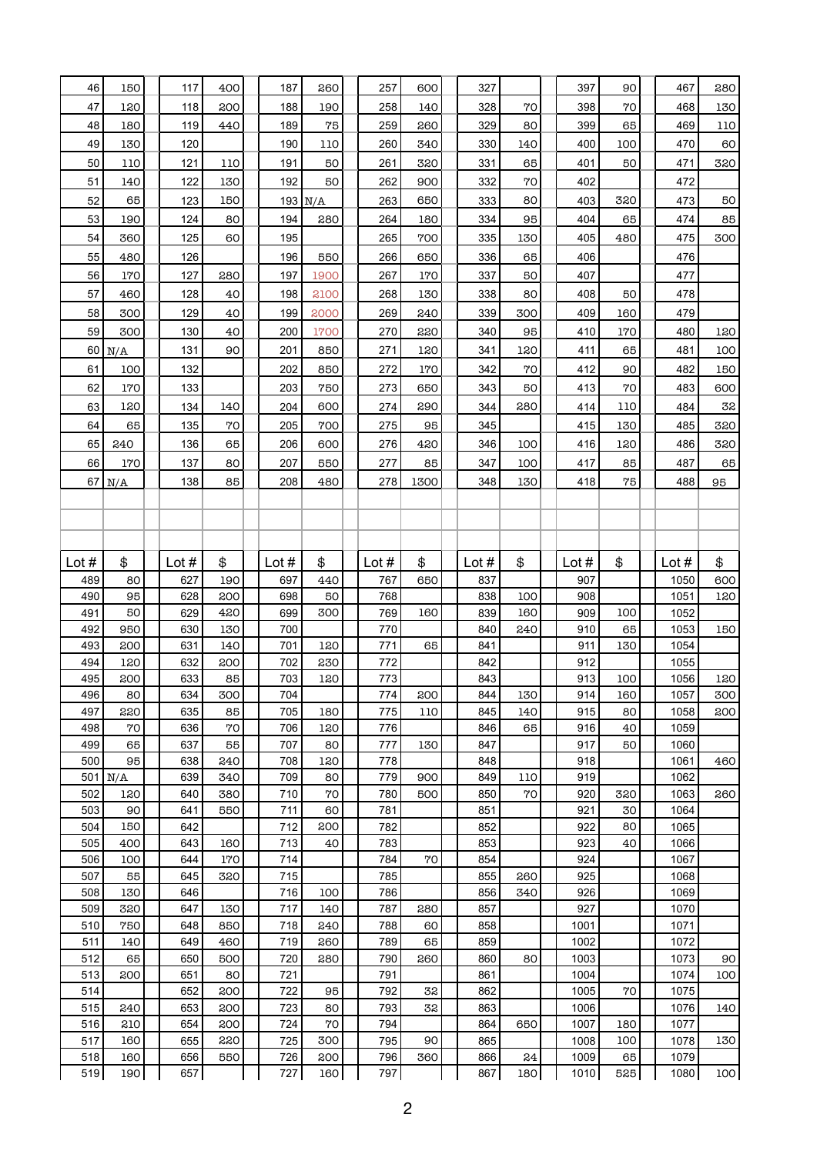| 47<br>118<br>188<br>258<br>328<br>70<br>398<br>70<br>468<br>130<br>120<br>200<br>190<br>140<br>48<br>189<br>75<br>329<br>80<br>119<br>259<br>260<br>399<br>65<br>469<br>110<br>180<br>440<br>49<br>120<br>190<br>260<br>330<br>140<br>400<br>100<br>470<br>60<br>130<br>110<br>340<br>191<br>261<br>331<br>65<br>401<br>320<br>50<br>110<br>121<br>110<br>50<br>320<br>50<br>471<br>51<br>122<br>192<br>332<br>70<br>402<br>472<br>140<br>130<br>50<br>262<br>900<br>52<br>65<br>123<br>403<br>473<br>150<br>$193$ N/A<br>263<br>650<br>333<br>80<br>320<br>50<br>190<br>280<br>95<br>85<br>53<br>124<br>80<br>194<br>264<br>180<br>334<br>404<br>65<br>474<br>125<br>60<br>195<br>265<br>335<br>405<br>475<br>300<br>54<br>360<br>700<br>130<br>480<br>55<br>480<br>126<br>196<br>550<br>650<br>336<br>65<br>406<br>476<br>266<br>56<br>337<br>127<br>197<br>267<br>50<br>407<br>477<br>170<br>280<br>1900<br>170<br>57<br>128<br>40<br>198<br>2100<br>268<br>338<br>80<br>408<br>50<br>478<br>460<br>130<br>58<br>40<br>199<br>339<br>300<br>479<br>300<br>129<br>2000<br>269<br>240<br>409<br>160<br>59<br>200<br>270<br>300<br>130<br>40<br>1700<br>220<br>340<br>95<br>410<br>480<br>120<br>170<br>131<br>90<br>201<br>271<br>341<br>120<br>411<br>65<br>481<br>100<br>60<br>N/A<br>850<br>120<br>100<br>202<br>342<br>70<br>412<br>150<br>61<br>132<br>850<br>272<br>170<br>90<br>482<br>62<br>203<br>170<br>133<br>750<br>273<br>650<br>343<br>50<br>413<br>70<br>483<br>600<br>63<br>134<br>204<br>600<br>32<br>120<br>140<br>274<br>290<br>344<br>280<br>414<br>110<br>484<br>64<br>65<br>135<br>70<br>205<br>700<br>95<br>345<br>415<br>485<br>320<br>275<br>130<br>240<br>65<br>136<br>65<br>206<br>346<br>416<br>486<br>320<br>600<br>276<br>420<br>100<br>120<br>207<br>66<br>347<br>65<br>170<br>137<br>80<br>550<br>277<br>85<br>100<br>417<br>85<br>487<br>67 $N/A$<br>85<br>208<br>278<br>348<br>418<br>75<br>488<br>138<br>480<br>1300<br>130<br>95<br>\$<br>\$<br>\$<br>\$<br>Lot #<br>\$<br>Lot $#$<br>\$<br>\$<br>Lot #<br>Lot $#$<br>Lot $#$<br>Lot $#$<br>Lot $#$<br>489<br>627<br>190<br>697<br>440<br>767<br>837<br>907<br>1050<br>600<br>80<br>650<br>490<br>908<br>95<br>628<br>200<br>698<br>768<br>838<br>100<br>1051<br>120<br>50<br>491<br>50<br>629<br>420<br>699<br>300<br>769<br>160<br>839<br>160<br>909<br>100<br>1052<br>492<br>950<br>630<br>130<br>700<br>770<br>840<br>910<br>65<br>1053<br>240<br>150<br>493<br>200<br>631<br>140<br>701<br>120<br>771<br>65<br>841<br>911<br>1054<br>130<br>912<br>494<br>632<br>702<br>230<br>842<br>1055<br>120<br>200<br>772<br>495<br>913<br>633<br>85<br>703<br>120<br>843<br>1056<br>120<br>200<br>773<br>100<br>496<br>634<br>300<br>704<br>200<br>844<br>130<br>914<br>160<br>300<br>80<br>1057<br>774<br>497<br>915<br>220<br>635<br>705<br>845<br>85<br>180<br>775<br>110<br>140<br>80<br>1058<br>200<br>498<br>70<br>636<br>70<br>706<br>846<br>65<br>916<br>1059<br>120<br>776<br>40<br>917<br>499<br>65<br>637<br>55<br>707<br>777<br>847<br>80<br>130<br>50<br>1060<br>500<br>95<br>638<br>240<br>708<br>120<br>848<br>918<br>778<br>1061<br>460<br>$501$ N/A<br>639<br>709<br>849<br>110<br>919<br>1062<br>340<br>80<br>779<br>900<br>502<br>640<br>710<br>70<br>780<br>850<br>70<br>920<br>1063<br>120<br>380<br>500<br>320<br>260<br>503<br>550<br>781<br>851<br>921<br>1064<br>90<br>641<br>711<br>60<br>30<br>504<br>642<br>712<br>782<br>852<br>922<br>1065<br>150<br>200<br>80<br>505<br>643<br>713<br>853<br>923<br>1066<br>400<br>160<br>40<br>783<br>40<br>506<br>644<br>170<br>714<br>784<br>70<br>854<br>924<br>1067<br>100<br>507<br>55<br>645<br>320<br>715<br>785<br>855<br>260<br>925<br>1068<br>508<br>646<br>716<br>786<br>856<br>926<br>1069<br>130<br>100<br>340<br>509<br>320<br>647<br>717<br>787<br>857<br>927<br>1070<br>130<br>140<br>280<br>510<br>750<br>648<br>850<br>718<br>788<br>858<br>240<br>60<br>1001<br>1071<br>511<br>649<br>719<br>789<br>65<br>859<br>1002<br>140<br>460<br>260<br>1072<br>512<br>65<br>500<br>720<br>280<br>260<br>860<br>80<br>1003<br>90<br>650<br>790<br>1073<br>513<br>200<br>80<br>721<br>791<br>861<br>100<br>651<br>1004<br>1074<br>200<br>95<br>32<br>70<br>514<br>652<br>722<br>792<br>862<br>1005<br>1075<br>515<br>32<br>240<br>653<br>200<br>723<br>80<br>793<br>863<br>1006<br>140<br>1076<br>70<br>516<br>210<br>654<br>200<br>724<br>794<br>864<br>650<br>1007<br>180<br>1077<br>517<br>220<br>160<br>655<br>725<br>300<br>795<br>90<br>865<br>1008<br>100<br>130<br>1078<br>518<br>656<br>550<br>726<br>200<br>796<br>360<br>866<br>24<br>1009<br>65<br>160<br>1079<br>190<br>727<br>797<br>867<br>180<br>525<br>519<br>657<br>160<br>1010<br>1080 | 46 | 150 | 117 | 400 | 187 | 260 | 257 | 600 | 327 |  | 397 | 90 | 467 | 280 |
|--------------------------------------------------------------------------------------------------------------------------------------------------------------------------------------------------------------------------------------------------------------------------------------------------------------------------------------------------------------------------------------------------------------------------------------------------------------------------------------------------------------------------------------------------------------------------------------------------------------------------------------------------------------------------------------------------------------------------------------------------------------------------------------------------------------------------------------------------------------------------------------------------------------------------------------------------------------------------------------------------------------------------------------------------------------------------------------------------------------------------------------------------------------------------------------------------------------------------------------------------------------------------------------------------------------------------------------------------------------------------------------------------------------------------------------------------------------------------------------------------------------------------------------------------------------------------------------------------------------------------------------------------------------------------------------------------------------------------------------------------------------------------------------------------------------------------------------------------------------------------------------------------------------------------------------------------------------------------------------------------------------------------------------------------------------------------------------------------------------------------------------------------------------------------------------------------------------------------------------------------------------------------------------------------------------------------------------------------------------------------------------------------------------------------------------------------------------------------------------------------------------------------------------------------------------------------------------------------------------------------------------------------------------------------------------------------------------------------------------------------------------------------------------------------------------------------------------------------------------------------------------------------------------------------------------------------------------------------------------------------------------------------------------------------------------------------------------------------------------------------------------------------------------------------------------------------------------------------------------------------------------------------------------------------------------------------------------------------------------------------------------------------------------------------------------------------------------------------------------------------------------------------------------------------------------------------------------------------------------------------------------------------------------------------------------------------------------------------------------------------------------------------------------------------------------------------------------------------------------------------------------------------------------------------------------------------------------------------------------------------------------------------------------------------------------------------------------------------------------------------------------------------------------------------------------------------------------------------------------------------------------------------------------------------------------------------------------------------------------------------------------------------------------------------------------------------------------------------------------------------------------------------------------------------------------------------------------------------------------------------------------------------------------------------------------------------------------------|----|-----|-----|-----|-----|-----|-----|-----|-----|--|-----|----|-----|-----|
|                                                                                                                                                                                                                                                                                                                                                                                                                                                                                                                                                                                                                                                                                                                                                                                                                                                                                                                                                                                                                                                                                                                                                                                                                                                                                                                                                                                                                                                                                                                                                                                                                                                                                                                                                                                                                                                                                                                                                                                                                                                                                                                                                                                                                                                                                                                                                                                                                                                                                                                                                                                                                                                                                                                                                                                                                                                                                                                                                                                                                                                                                                                                                                                                                                                                                                                                                                                                                                                                                                                                                                                                                                                                                                                                                                                                                                                                                                                                                                                                                                                                                                                                                                                                                                                                                                                                                                                                                                                                                                                                                                                                                                                                                                                    |    |     |     |     |     |     |     |     |     |  |     |    |     |     |
|                                                                                                                                                                                                                                                                                                                                                                                                                                                                                                                                                                                                                                                                                                                                                                                                                                                                                                                                                                                                                                                                                                                                                                                                                                                                                                                                                                                                                                                                                                                                                                                                                                                                                                                                                                                                                                                                                                                                                                                                                                                                                                                                                                                                                                                                                                                                                                                                                                                                                                                                                                                                                                                                                                                                                                                                                                                                                                                                                                                                                                                                                                                                                                                                                                                                                                                                                                                                                                                                                                                                                                                                                                                                                                                                                                                                                                                                                                                                                                                                                                                                                                                                                                                                                                                                                                                                                                                                                                                                                                                                                                                                                                                                                                                    |    |     |     |     |     |     |     |     |     |  |     |    |     |     |
|                                                                                                                                                                                                                                                                                                                                                                                                                                                                                                                                                                                                                                                                                                                                                                                                                                                                                                                                                                                                                                                                                                                                                                                                                                                                                                                                                                                                                                                                                                                                                                                                                                                                                                                                                                                                                                                                                                                                                                                                                                                                                                                                                                                                                                                                                                                                                                                                                                                                                                                                                                                                                                                                                                                                                                                                                                                                                                                                                                                                                                                                                                                                                                                                                                                                                                                                                                                                                                                                                                                                                                                                                                                                                                                                                                                                                                                                                                                                                                                                                                                                                                                                                                                                                                                                                                                                                                                                                                                                                                                                                                                                                                                                                                                    |    |     |     |     |     |     |     |     |     |  |     |    |     |     |
|                                                                                                                                                                                                                                                                                                                                                                                                                                                                                                                                                                                                                                                                                                                                                                                                                                                                                                                                                                                                                                                                                                                                                                                                                                                                                                                                                                                                                                                                                                                                                                                                                                                                                                                                                                                                                                                                                                                                                                                                                                                                                                                                                                                                                                                                                                                                                                                                                                                                                                                                                                                                                                                                                                                                                                                                                                                                                                                                                                                                                                                                                                                                                                                                                                                                                                                                                                                                                                                                                                                                                                                                                                                                                                                                                                                                                                                                                                                                                                                                                                                                                                                                                                                                                                                                                                                                                                                                                                                                                                                                                                                                                                                                                                                    |    |     |     |     |     |     |     |     |     |  |     |    |     |     |
|                                                                                                                                                                                                                                                                                                                                                                                                                                                                                                                                                                                                                                                                                                                                                                                                                                                                                                                                                                                                                                                                                                                                                                                                                                                                                                                                                                                                                                                                                                                                                                                                                                                                                                                                                                                                                                                                                                                                                                                                                                                                                                                                                                                                                                                                                                                                                                                                                                                                                                                                                                                                                                                                                                                                                                                                                                                                                                                                                                                                                                                                                                                                                                                                                                                                                                                                                                                                                                                                                                                                                                                                                                                                                                                                                                                                                                                                                                                                                                                                                                                                                                                                                                                                                                                                                                                                                                                                                                                                                                                                                                                                                                                                                                                    |    |     |     |     |     |     |     |     |     |  |     |    |     |     |
|                                                                                                                                                                                                                                                                                                                                                                                                                                                                                                                                                                                                                                                                                                                                                                                                                                                                                                                                                                                                                                                                                                                                                                                                                                                                                                                                                                                                                                                                                                                                                                                                                                                                                                                                                                                                                                                                                                                                                                                                                                                                                                                                                                                                                                                                                                                                                                                                                                                                                                                                                                                                                                                                                                                                                                                                                                                                                                                                                                                                                                                                                                                                                                                                                                                                                                                                                                                                                                                                                                                                                                                                                                                                                                                                                                                                                                                                                                                                                                                                                                                                                                                                                                                                                                                                                                                                                                                                                                                                                                                                                                                                                                                                                                                    |    |     |     |     |     |     |     |     |     |  |     |    |     |     |
|                                                                                                                                                                                                                                                                                                                                                                                                                                                                                                                                                                                                                                                                                                                                                                                                                                                                                                                                                                                                                                                                                                                                                                                                                                                                                                                                                                                                                                                                                                                                                                                                                                                                                                                                                                                                                                                                                                                                                                                                                                                                                                                                                                                                                                                                                                                                                                                                                                                                                                                                                                                                                                                                                                                                                                                                                                                                                                                                                                                                                                                                                                                                                                                                                                                                                                                                                                                                                                                                                                                                                                                                                                                                                                                                                                                                                                                                                                                                                                                                                                                                                                                                                                                                                                                                                                                                                                                                                                                                                                                                                                                                                                                                                                                    |    |     |     |     |     |     |     |     |     |  |     |    |     |     |
|                                                                                                                                                                                                                                                                                                                                                                                                                                                                                                                                                                                                                                                                                                                                                                                                                                                                                                                                                                                                                                                                                                                                                                                                                                                                                                                                                                                                                                                                                                                                                                                                                                                                                                                                                                                                                                                                                                                                                                                                                                                                                                                                                                                                                                                                                                                                                                                                                                                                                                                                                                                                                                                                                                                                                                                                                                                                                                                                                                                                                                                                                                                                                                                                                                                                                                                                                                                                                                                                                                                                                                                                                                                                                                                                                                                                                                                                                                                                                                                                                                                                                                                                                                                                                                                                                                                                                                                                                                                                                                                                                                                                                                                                                                                    |    |     |     |     |     |     |     |     |     |  |     |    |     |     |
|                                                                                                                                                                                                                                                                                                                                                                                                                                                                                                                                                                                                                                                                                                                                                                                                                                                                                                                                                                                                                                                                                                                                                                                                                                                                                                                                                                                                                                                                                                                                                                                                                                                                                                                                                                                                                                                                                                                                                                                                                                                                                                                                                                                                                                                                                                                                                                                                                                                                                                                                                                                                                                                                                                                                                                                                                                                                                                                                                                                                                                                                                                                                                                                                                                                                                                                                                                                                                                                                                                                                                                                                                                                                                                                                                                                                                                                                                                                                                                                                                                                                                                                                                                                                                                                                                                                                                                                                                                                                                                                                                                                                                                                                                                                    |    |     |     |     |     |     |     |     |     |  |     |    |     |     |
|                                                                                                                                                                                                                                                                                                                                                                                                                                                                                                                                                                                                                                                                                                                                                                                                                                                                                                                                                                                                                                                                                                                                                                                                                                                                                                                                                                                                                                                                                                                                                                                                                                                                                                                                                                                                                                                                                                                                                                                                                                                                                                                                                                                                                                                                                                                                                                                                                                                                                                                                                                                                                                                                                                                                                                                                                                                                                                                                                                                                                                                                                                                                                                                                                                                                                                                                                                                                                                                                                                                                                                                                                                                                                                                                                                                                                                                                                                                                                                                                                                                                                                                                                                                                                                                                                                                                                                                                                                                                                                                                                                                                                                                                                                                    |    |     |     |     |     |     |     |     |     |  |     |    |     |     |
|                                                                                                                                                                                                                                                                                                                                                                                                                                                                                                                                                                                                                                                                                                                                                                                                                                                                                                                                                                                                                                                                                                                                                                                                                                                                                                                                                                                                                                                                                                                                                                                                                                                                                                                                                                                                                                                                                                                                                                                                                                                                                                                                                                                                                                                                                                                                                                                                                                                                                                                                                                                                                                                                                                                                                                                                                                                                                                                                                                                                                                                                                                                                                                                                                                                                                                                                                                                                                                                                                                                                                                                                                                                                                                                                                                                                                                                                                                                                                                                                                                                                                                                                                                                                                                                                                                                                                                                                                                                                                                                                                                                                                                                                                                                    |    |     |     |     |     |     |     |     |     |  |     |    |     |     |
|                                                                                                                                                                                                                                                                                                                                                                                                                                                                                                                                                                                                                                                                                                                                                                                                                                                                                                                                                                                                                                                                                                                                                                                                                                                                                                                                                                                                                                                                                                                                                                                                                                                                                                                                                                                                                                                                                                                                                                                                                                                                                                                                                                                                                                                                                                                                                                                                                                                                                                                                                                                                                                                                                                                                                                                                                                                                                                                                                                                                                                                                                                                                                                                                                                                                                                                                                                                                                                                                                                                                                                                                                                                                                                                                                                                                                                                                                                                                                                                                                                                                                                                                                                                                                                                                                                                                                                                                                                                                                                                                                                                                                                                                                                                    |    |     |     |     |     |     |     |     |     |  |     |    |     |     |
|                                                                                                                                                                                                                                                                                                                                                                                                                                                                                                                                                                                                                                                                                                                                                                                                                                                                                                                                                                                                                                                                                                                                                                                                                                                                                                                                                                                                                                                                                                                                                                                                                                                                                                                                                                                                                                                                                                                                                                                                                                                                                                                                                                                                                                                                                                                                                                                                                                                                                                                                                                                                                                                                                                                                                                                                                                                                                                                                                                                                                                                                                                                                                                                                                                                                                                                                                                                                                                                                                                                                                                                                                                                                                                                                                                                                                                                                                                                                                                                                                                                                                                                                                                                                                                                                                                                                                                                                                                                                                                                                                                                                                                                                                                                    |    |     |     |     |     |     |     |     |     |  |     |    |     |     |
|                                                                                                                                                                                                                                                                                                                                                                                                                                                                                                                                                                                                                                                                                                                                                                                                                                                                                                                                                                                                                                                                                                                                                                                                                                                                                                                                                                                                                                                                                                                                                                                                                                                                                                                                                                                                                                                                                                                                                                                                                                                                                                                                                                                                                                                                                                                                                                                                                                                                                                                                                                                                                                                                                                                                                                                                                                                                                                                                                                                                                                                                                                                                                                                                                                                                                                                                                                                                                                                                                                                                                                                                                                                                                                                                                                                                                                                                                                                                                                                                                                                                                                                                                                                                                                                                                                                                                                                                                                                                                                                                                                                                                                                                                                                    |    |     |     |     |     |     |     |     |     |  |     |    |     |     |
|                                                                                                                                                                                                                                                                                                                                                                                                                                                                                                                                                                                                                                                                                                                                                                                                                                                                                                                                                                                                                                                                                                                                                                                                                                                                                                                                                                                                                                                                                                                                                                                                                                                                                                                                                                                                                                                                                                                                                                                                                                                                                                                                                                                                                                                                                                                                                                                                                                                                                                                                                                                                                                                                                                                                                                                                                                                                                                                                                                                                                                                                                                                                                                                                                                                                                                                                                                                                                                                                                                                                                                                                                                                                                                                                                                                                                                                                                                                                                                                                                                                                                                                                                                                                                                                                                                                                                                                                                                                                                                                                                                                                                                                                                                                    |    |     |     |     |     |     |     |     |     |  |     |    |     |     |
|                                                                                                                                                                                                                                                                                                                                                                                                                                                                                                                                                                                                                                                                                                                                                                                                                                                                                                                                                                                                                                                                                                                                                                                                                                                                                                                                                                                                                                                                                                                                                                                                                                                                                                                                                                                                                                                                                                                                                                                                                                                                                                                                                                                                                                                                                                                                                                                                                                                                                                                                                                                                                                                                                                                                                                                                                                                                                                                                                                                                                                                                                                                                                                                                                                                                                                                                                                                                                                                                                                                                                                                                                                                                                                                                                                                                                                                                                                                                                                                                                                                                                                                                                                                                                                                                                                                                                                                                                                                                                                                                                                                                                                                                                                                    |    |     |     |     |     |     |     |     |     |  |     |    |     |     |
|                                                                                                                                                                                                                                                                                                                                                                                                                                                                                                                                                                                                                                                                                                                                                                                                                                                                                                                                                                                                                                                                                                                                                                                                                                                                                                                                                                                                                                                                                                                                                                                                                                                                                                                                                                                                                                                                                                                                                                                                                                                                                                                                                                                                                                                                                                                                                                                                                                                                                                                                                                                                                                                                                                                                                                                                                                                                                                                                                                                                                                                                                                                                                                                                                                                                                                                                                                                                                                                                                                                                                                                                                                                                                                                                                                                                                                                                                                                                                                                                                                                                                                                                                                                                                                                                                                                                                                                                                                                                                                                                                                                                                                                                                                                    |    |     |     |     |     |     |     |     |     |  |     |    |     |     |
|                                                                                                                                                                                                                                                                                                                                                                                                                                                                                                                                                                                                                                                                                                                                                                                                                                                                                                                                                                                                                                                                                                                                                                                                                                                                                                                                                                                                                                                                                                                                                                                                                                                                                                                                                                                                                                                                                                                                                                                                                                                                                                                                                                                                                                                                                                                                                                                                                                                                                                                                                                                                                                                                                                                                                                                                                                                                                                                                                                                                                                                                                                                                                                                                                                                                                                                                                                                                                                                                                                                                                                                                                                                                                                                                                                                                                                                                                                                                                                                                                                                                                                                                                                                                                                                                                                                                                                                                                                                                                                                                                                                                                                                                                                                    |    |     |     |     |     |     |     |     |     |  |     |    |     |     |
|                                                                                                                                                                                                                                                                                                                                                                                                                                                                                                                                                                                                                                                                                                                                                                                                                                                                                                                                                                                                                                                                                                                                                                                                                                                                                                                                                                                                                                                                                                                                                                                                                                                                                                                                                                                                                                                                                                                                                                                                                                                                                                                                                                                                                                                                                                                                                                                                                                                                                                                                                                                                                                                                                                                                                                                                                                                                                                                                                                                                                                                                                                                                                                                                                                                                                                                                                                                                                                                                                                                                                                                                                                                                                                                                                                                                                                                                                                                                                                                                                                                                                                                                                                                                                                                                                                                                                                                                                                                                                                                                                                                                                                                                                                                    |    |     |     |     |     |     |     |     |     |  |     |    |     |     |
|                                                                                                                                                                                                                                                                                                                                                                                                                                                                                                                                                                                                                                                                                                                                                                                                                                                                                                                                                                                                                                                                                                                                                                                                                                                                                                                                                                                                                                                                                                                                                                                                                                                                                                                                                                                                                                                                                                                                                                                                                                                                                                                                                                                                                                                                                                                                                                                                                                                                                                                                                                                                                                                                                                                                                                                                                                                                                                                                                                                                                                                                                                                                                                                                                                                                                                                                                                                                                                                                                                                                                                                                                                                                                                                                                                                                                                                                                                                                                                                                                                                                                                                                                                                                                                                                                                                                                                                                                                                                                                                                                                                                                                                                                                                    |    |     |     |     |     |     |     |     |     |  |     |    |     |     |
|                                                                                                                                                                                                                                                                                                                                                                                                                                                                                                                                                                                                                                                                                                                                                                                                                                                                                                                                                                                                                                                                                                                                                                                                                                                                                                                                                                                                                                                                                                                                                                                                                                                                                                                                                                                                                                                                                                                                                                                                                                                                                                                                                                                                                                                                                                                                                                                                                                                                                                                                                                                                                                                                                                                                                                                                                                                                                                                                                                                                                                                                                                                                                                                                                                                                                                                                                                                                                                                                                                                                                                                                                                                                                                                                                                                                                                                                                                                                                                                                                                                                                                                                                                                                                                                                                                                                                                                                                                                                                                                                                                                                                                                                                                                    |    |     |     |     |     |     |     |     |     |  |     |    |     |     |
|                                                                                                                                                                                                                                                                                                                                                                                                                                                                                                                                                                                                                                                                                                                                                                                                                                                                                                                                                                                                                                                                                                                                                                                                                                                                                                                                                                                                                                                                                                                                                                                                                                                                                                                                                                                                                                                                                                                                                                                                                                                                                                                                                                                                                                                                                                                                                                                                                                                                                                                                                                                                                                                                                                                                                                                                                                                                                                                                                                                                                                                                                                                                                                                                                                                                                                                                                                                                                                                                                                                                                                                                                                                                                                                                                                                                                                                                                                                                                                                                                                                                                                                                                                                                                                                                                                                                                                                                                                                                                                                                                                                                                                                                                                                    |    |     |     |     |     |     |     |     |     |  |     |    |     |     |
|                                                                                                                                                                                                                                                                                                                                                                                                                                                                                                                                                                                                                                                                                                                                                                                                                                                                                                                                                                                                                                                                                                                                                                                                                                                                                                                                                                                                                                                                                                                                                                                                                                                                                                                                                                                                                                                                                                                                                                                                                                                                                                                                                                                                                                                                                                                                                                                                                                                                                                                                                                                                                                                                                                                                                                                                                                                                                                                                                                                                                                                                                                                                                                                                                                                                                                                                                                                                                                                                                                                                                                                                                                                                                                                                                                                                                                                                                                                                                                                                                                                                                                                                                                                                                                                                                                                                                                                                                                                                                                                                                                                                                                                                                                                    |    |     |     |     |     |     |     |     |     |  |     |    |     |     |
|                                                                                                                                                                                                                                                                                                                                                                                                                                                                                                                                                                                                                                                                                                                                                                                                                                                                                                                                                                                                                                                                                                                                                                                                                                                                                                                                                                                                                                                                                                                                                                                                                                                                                                                                                                                                                                                                                                                                                                                                                                                                                                                                                                                                                                                                                                                                                                                                                                                                                                                                                                                                                                                                                                                                                                                                                                                                                                                                                                                                                                                                                                                                                                                                                                                                                                                                                                                                                                                                                                                                                                                                                                                                                                                                                                                                                                                                                                                                                                                                                                                                                                                                                                                                                                                                                                                                                                                                                                                                                                                                                                                                                                                                                                                    |    |     |     |     |     |     |     |     |     |  |     |    |     |     |
|                                                                                                                                                                                                                                                                                                                                                                                                                                                                                                                                                                                                                                                                                                                                                                                                                                                                                                                                                                                                                                                                                                                                                                                                                                                                                                                                                                                                                                                                                                                                                                                                                                                                                                                                                                                                                                                                                                                                                                                                                                                                                                                                                                                                                                                                                                                                                                                                                                                                                                                                                                                                                                                                                                                                                                                                                                                                                                                                                                                                                                                                                                                                                                                                                                                                                                                                                                                                                                                                                                                                                                                                                                                                                                                                                                                                                                                                                                                                                                                                                                                                                                                                                                                                                                                                                                                                                                                                                                                                                                                                                                                                                                                                                                                    |    |     |     |     |     |     |     |     |     |  |     |    |     |     |
|                                                                                                                                                                                                                                                                                                                                                                                                                                                                                                                                                                                                                                                                                                                                                                                                                                                                                                                                                                                                                                                                                                                                                                                                                                                                                                                                                                                                                                                                                                                                                                                                                                                                                                                                                                                                                                                                                                                                                                                                                                                                                                                                                                                                                                                                                                                                                                                                                                                                                                                                                                                                                                                                                                                                                                                                                                                                                                                                                                                                                                                                                                                                                                                                                                                                                                                                                                                                                                                                                                                                                                                                                                                                                                                                                                                                                                                                                                                                                                                                                                                                                                                                                                                                                                                                                                                                                                                                                                                                                                                                                                                                                                                                                                                    |    |     |     |     |     |     |     |     |     |  |     |    |     |     |
|                                                                                                                                                                                                                                                                                                                                                                                                                                                                                                                                                                                                                                                                                                                                                                                                                                                                                                                                                                                                                                                                                                                                                                                                                                                                                                                                                                                                                                                                                                                                                                                                                                                                                                                                                                                                                                                                                                                                                                                                                                                                                                                                                                                                                                                                                                                                                                                                                                                                                                                                                                                                                                                                                                                                                                                                                                                                                                                                                                                                                                                                                                                                                                                                                                                                                                                                                                                                                                                                                                                                                                                                                                                                                                                                                                                                                                                                                                                                                                                                                                                                                                                                                                                                                                                                                                                                                                                                                                                                                                                                                                                                                                                                                                                    |    |     |     |     |     |     |     |     |     |  |     |    |     |     |
|                                                                                                                                                                                                                                                                                                                                                                                                                                                                                                                                                                                                                                                                                                                                                                                                                                                                                                                                                                                                                                                                                                                                                                                                                                                                                                                                                                                                                                                                                                                                                                                                                                                                                                                                                                                                                                                                                                                                                                                                                                                                                                                                                                                                                                                                                                                                                                                                                                                                                                                                                                                                                                                                                                                                                                                                                                                                                                                                                                                                                                                                                                                                                                                                                                                                                                                                                                                                                                                                                                                                                                                                                                                                                                                                                                                                                                                                                                                                                                                                                                                                                                                                                                                                                                                                                                                                                                                                                                                                                                                                                                                                                                                                                                                    |    |     |     |     |     |     |     |     |     |  |     |    |     |     |
|                                                                                                                                                                                                                                                                                                                                                                                                                                                                                                                                                                                                                                                                                                                                                                                                                                                                                                                                                                                                                                                                                                                                                                                                                                                                                                                                                                                                                                                                                                                                                                                                                                                                                                                                                                                                                                                                                                                                                                                                                                                                                                                                                                                                                                                                                                                                                                                                                                                                                                                                                                                                                                                                                                                                                                                                                                                                                                                                                                                                                                                                                                                                                                                                                                                                                                                                                                                                                                                                                                                                                                                                                                                                                                                                                                                                                                                                                                                                                                                                                                                                                                                                                                                                                                                                                                                                                                                                                                                                                                                                                                                                                                                                                                                    |    |     |     |     |     |     |     |     |     |  |     |    |     |     |
|                                                                                                                                                                                                                                                                                                                                                                                                                                                                                                                                                                                                                                                                                                                                                                                                                                                                                                                                                                                                                                                                                                                                                                                                                                                                                                                                                                                                                                                                                                                                                                                                                                                                                                                                                                                                                                                                                                                                                                                                                                                                                                                                                                                                                                                                                                                                                                                                                                                                                                                                                                                                                                                                                                                                                                                                                                                                                                                                                                                                                                                                                                                                                                                                                                                                                                                                                                                                                                                                                                                                                                                                                                                                                                                                                                                                                                                                                                                                                                                                                                                                                                                                                                                                                                                                                                                                                                                                                                                                                                                                                                                                                                                                                                                    |    |     |     |     |     |     |     |     |     |  |     |    |     |     |
|                                                                                                                                                                                                                                                                                                                                                                                                                                                                                                                                                                                                                                                                                                                                                                                                                                                                                                                                                                                                                                                                                                                                                                                                                                                                                                                                                                                                                                                                                                                                                                                                                                                                                                                                                                                                                                                                                                                                                                                                                                                                                                                                                                                                                                                                                                                                                                                                                                                                                                                                                                                                                                                                                                                                                                                                                                                                                                                                                                                                                                                                                                                                                                                                                                                                                                                                                                                                                                                                                                                                                                                                                                                                                                                                                                                                                                                                                                                                                                                                                                                                                                                                                                                                                                                                                                                                                                                                                                                                                                                                                                                                                                                                                                                    |    |     |     |     |     |     |     |     |     |  |     |    |     |     |
|                                                                                                                                                                                                                                                                                                                                                                                                                                                                                                                                                                                                                                                                                                                                                                                                                                                                                                                                                                                                                                                                                                                                                                                                                                                                                                                                                                                                                                                                                                                                                                                                                                                                                                                                                                                                                                                                                                                                                                                                                                                                                                                                                                                                                                                                                                                                                                                                                                                                                                                                                                                                                                                                                                                                                                                                                                                                                                                                                                                                                                                                                                                                                                                                                                                                                                                                                                                                                                                                                                                                                                                                                                                                                                                                                                                                                                                                                                                                                                                                                                                                                                                                                                                                                                                                                                                                                                                                                                                                                                                                                                                                                                                                                                                    |    |     |     |     |     |     |     |     |     |  |     |    |     |     |
|                                                                                                                                                                                                                                                                                                                                                                                                                                                                                                                                                                                                                                                                                                                                                                                                                                                                                                                                                                                                                                                                                                                                                                                                                                                                                                                                                                                                                                                                                                                                                                                                                                                                                                                                                                                                                                                                                                                                                                                                                                                                                                                                                                                                                                                                                                                                                                                                                                                                                                                                                                                                                                                                                                                                                                                                                                                                                                                                                                                                                                                                                                                                                                                                                                                                                                                                                                                                                                                                                                                                                                                                                                                                                                                                                                                                                                                                                                                                                                                                                                                                                                                                                                                                                                                                                                                                                                                                                                                                                                                                                                                                                                                                                                                    |    |     |     |     |     |     |     |     |     |  |     |    |     |     |
|                                                                                                                                                                                                                                                                                                                                                                                                                                                                                                                                                                                                                                                                                                                                                                                                                                                                                                                                                                                                                                                                                                                                                                                                                                                                                                                                                                                                                                                                                                                                                                                                                                                                                                                                                                                                                                                                                                                                                                                                                                                                                                                                                                                                                                                                                                                                                                                                                                                                                                                                                                                                                                                                                                                                                                                                                                                                                                                                                                                                                                                                                                                                                                                                                                                                                                                                                                                                                                                                                                                                                                                                                                                                                                                                                                                                                                                                                                                                                                                                                                                                                                                                                                                                                                                                                                                                                                                                                                                                                                                                                                                                                                                                                                                    |    |     |     |     |     |     |     |     |     |  |     |    |     |     |
|                                                                                                                                                                                                                                                                                                                                                                                                                                                                                                                                                                                                                                                                                                                                                                                                                                                                                                                                                                                                                                                                                                                                                                                                                                                                                                                                                                                                                                                                                                                                                                                                                                                                                                                                                                                                                                                                                                                                                                                                                                                                                                                                                                                                                                                                                                                                                                                                                                                                                                                                                                                                                                                                                                                                                                                                                                                                                                                                                                                                                                                                                                                                                                                                                                                                                                                                                                                                                                                                                                                                                                                                                                                                                                                                                                                                                                                                                                                                                                                                                                                                                                                                                                                                                                                                                                                                                                                                                                                                                                                                                                                                                                                                                                                    |    |     |     |     |     |     |     |     |     |  |     |    |     |     |
|                                                                                                                                                                                                                                                                                                                                                                                                                                                                                                                                                                                                                                                                                                                                                                                                                                                                                                                                                                                                                                                                                                                                                                                                                                                                                                                                                                                                                                                                                                                                                                                                                                                                                                                                                                                                                                                                                                                                                                                                                                                                                                                                                                                                                                                                                                                                                                                                                                                                                                                                                                                                                                                                                                                                                                                                                                                                                                                                                                                                                                                                                                                                                                                                                                                                                                                                                                                                                                                                                                                                                                                                                                                                                                                                                                                                                                                                                                                                                                                                                                                                                                                                                                                                                                                                                                                                                                                                                                                                                                                                                                                                                                                                                                                    |    |     |     |     |     |     |     |     |     |  |     |    |     |     |
|                                                                                                                                                                                                                                                                                                                                                                                                                                                                                                                                                                                                                                                                                                                                                                                                                                                                                                                                                                                                                                                                                                                                                                                                                                                                                                                                                                                                                                                                                                                                                                                                                                                                                                                                                                                                                                                                                                                                                                                                                                                                                                                                                                                                                                                                                                                                                                                                                                                                                                                                                                                                                                                                                                                                                                                                                                                                                                                                                                                                                                                                                                                                                                                                                                                                                                                                                                                                                                                                                                                                                                                                                                                                                                                                                                                                                                                                                                                                                                                                                                                                                                                                                                                                                                                                                                                                                                                                                                                                                                                                                                                                                                                                                                                    |    |     |     |     |     |     |     |     |     |  |     |    |     |     |
|                                                                                                                                                                                                                                                                                                                                                                                                                                                                                                                                                                                                                                                                                                                                                                                                                                                                                                                                                                                                                                                                                                                                                                                                                                                                                                                                                                                                                                                                                                                                                                                                                                                                                                                                                                                                                                                                                                                                                                                                                                                                                                                                                                                                                                                                                                                                                                                                                                                                                                                                                                                                                                                                                                                                                                                                                                                                                                                                                                                                                                                                                                                                                                                                                                                                                                                                                                                                                                                                                                                                                                                                                                                                                                                                                                                                                                                                                                                                                                                                                                                                                                                                                                                                                                                                                                                                                                                                                                                                                                                                                                                                                                                                                                                    |    |     |     |     |     |     |     |     |     |  |     |    |     |     |
|                                                                                                                                                                                                                                                                                                                                                                                                                                                                                                                                                                                                                                                                                                                                                                                                                                                                                                                                                                                                                                                                                                                                                                                                                                                                                                                                                                                                                                                                                                                                                                                                                                                                                                                                                                                                                                                                                                                                                                                                                                                                                                                                                                                                                                                                                                                                                                                                                                                                                                                                                                                                                                                                                                                                                                                                                                                                                                                                                                                                                                                                                                                                                                                                                                                                                                                                                                                                                                                                                                                                                                                                                                                                                                                                                                                                                                                                                                                                                                                                                                                                                                                                                                                                                                                                                                                                                                                                                                                                                                                                                                                                                                                                                                                    |    |     |     |     |     |     |     |     |     |  |     |    |     |     |
|                                                                                                                                                                                                                                                                                                                                                                                                                                                                                                                                                                                                                                                                                                                                                                                                                                                                                                                                                                                                                                                                                                                                                                                                                                                                                                                                                                                                                                                                                                                                                                                                                                                                                                                                                                                                                                                                                                                                                                                                                                                                                                                                                                                                                                                                                                                                                                                                                                                                                                                                                                                                                                                                                                                                                                                                                                                                                                                                                                                                                                                                                                                                                                                                                                                                                                                                                                                                                                                                                                                                                                                                                                                                                                                                                                                                                                                                                                                                                                                                                                                                                                                                                                                                                                                                                                                                                                                                                                                                                                                                                                                                                                                                                                                    |    |     |     |     |     |     |     |     |     |  |     |    |     |     |
|                                                                                                                                                                                                                                                                                                                                                                                                                                                                                                                                                                                                                                                                                                                                                                                                                                                                                                                                                                                                                                                                                                                                                                                                                                                                                                                                                                                                                                                                                                                                                                                                                                                                                                                                                                                                                                                                                                                                                                                                                                                                                                                                                                                                                                                                                                                                                                                                                                                                                                                                                                                                                                                                                                                                                                                                                                                                                                                                                                                                                                                                                                                                                                                                                                                                                                                                                                                                                                                                                                                                                                                                                                                                                                                                                                                                                                                                                                                                                                                                                                                                                                                                                                                                                                                                                                                                                                                                                                                                                                                                                                                                                                                                                                                    |    |     |     |     |     |     |     |     |     |  |     |    |     |     |
|                                                                                                                                                                                                                                                                                                                                                                                                                                                                                                                                                                                                                                                                                                                                                                                                                                                                                                                                                                                                                                                                                                                                                                                                                                                                                                                                                                                                                                                                                                                                                                                                                                                                                                                                                                                                                                                                                                                                                                                                                                                                                                                                                                                                                                                                                                                                                                                                                                                                                                                                                                                                                                                                                                                                                                                                                                                                                                                                                                                                                                                                                                                                                                                                                                                                                                                                                                                                                                                                                                                                                                                                                                                                                                                                                                                                                                                                                                                                                                                                                                                                                                                                                                                                                                                                                                                                                                                                                                                                                                                                                                                                                                                                                                                    |    |     |     |     |     |     |     |     |     |  |     |    |     |     |
|                                                                                                                                                                                                                                                                                                                                                                                                                                                                                                                                                                                                                                                                                                                                                                                                                                                                                                                                                                                                                                                                                                                                                                                                                                                                                                                                                                                                                                                                                                                                                                                                                                                                                                                                                                                                                                                                                                                                                                                                                                                                                                                                                                                                                                                                                                                                                                                                                                                                                                                                                                                                                                                                                                                                                                                                                                                                                                                                                                                                                                                                                                                                                                                                                                                                                                                                                                                                                                                                                                                                                                                                                                                                                                                                                                                                                                                                                                                                                                                                                                                                                                                                                                                                                                                                                                                                                                                                                                                                                                                                                                                                                                                                                                                    |    |     |     |     |     |     |     |     |     |  |     |    |     |     |
|                                                                                                                                                                                                                                                                                                                                                                                                                                                                                                                                                                                                                                                                                                                                                                                                                                                                                                                                                                                                                                                                                                                                                                                                                                                                                                                                                                                                                                                                                                                                                                                                                                                                                                                                                                                                                                                                                                                                                                                                                                                                                                                                                                                                                                                                                                                                                                                                                                                                                                                                                                                                                                                                                                                                                                                                                                                                                                                                                                                                                                                                                                                                                                                                                                                                                                                                                                                                                                                                                                                                                                                                                                                                                                                                                                                                                                                                                                                                                                                                                                                                                                                                                                                                                                                                                                                                                                                                                                                                                                                                                                                                                                                                                                                    |    |     |     |     |     |     |     |     |     |  |     |    |     |     |
|                                                                                                                                                                                                                                                                                                                                                                                                                                                                                                                                                                                                                                                                                                                                                                                                                                                                                                                                                                                                                                                                                                                                                                                                                                                                                                                                                                                                                                                                                                                                                                                                                                                                                                                                                                                                                                                                                                                                                                                                                                                                                                                                                                                                                                                                                                                                                                                                                                                                                                                                                                                                                                                                                                                                                                                                                                                                                                                                                                                                                                                                                                                                                                                                                                                                                                                                                                                                                                                                                                                                                                                                                                                                                                                                                                                                                                                                                                                                                                                                                                                                                                                                                                                                                                                                                                                                                                                                                                                                                                                                                                                                                                                                                                                    |    |     |     |     |     |     |     |     |     |  |     |    |     |     |
|                                                                                                                                                                                                                                                                                                                                                                                                                                                                                                                                                                                                                                                                                                                                                                                                                                                                                                                                                                                                                                                                                                                                                                                                                                                                                                                                                                                                                                                                                                                                                                                                                                                                                                                                                                                                                                                                                                                                                                                                                                                                                                                                                                                                                                                                                                                                                                                                                                                                                                                                                                                                                                                                                                                                                                                                                                                                                                                                                                                                                                                                                                                                                                                                                                                                                                                                                                                                                                                                                                                                                                                                                                                                                                                                                                                                                                                                                                                                                                                                                                                                                                                                                                                                                                                                                                                                                                                                                                                                                                                                                                                                                                                                                                                    |    |     |     |     |     |     |     |     |     |  |     |    |     |     |
|                                                                                                                                                                                                                                                                                                                                                                                                                                                                                                                                                                                                                                                                                                                                                                                                                                                                                                                                                                                                                                                                                                                                                                                                                                                                                                                                                                                                                                                                                                                                                                                                                                                                                                                                                                                                                                                                                                                                                                                                                                                                                                                                                                                                                                                                                                                                                                                                                                                                                                                                                                                                                                                                                                                                                                                                                                                                                                                                                                                                                                                                                                                                                                                                                                                                                                                                                                                                                                                                                                                                                                                                                                                                                                                                                                                                                                                                                                                                                                                                                                                                                                                                                                                                                                                                                                                                                                                                                                                                                                                                                                                                                                                                                                                    |    |     |     |     |     |     |     |     |     |  |     |    |     |     |
|                                                                                                                                                                                                                                                                                                                                                                                                                                                                                                                                                                                                                                                                                                                                                                                                                                                                                                                                                                                                                                                                                                                                                                                                                                                                                                                                                                                                                                                                                                                                                                                                                                                                                                                                                                                                                                                                                                                                                                                                                                                                                                                                                                                                                                                                                                                                                                                                                                                                                                                                                                                                                                                                                                                                                                                                                                                                                                                                                                                                                                                                                                                                                                                                                                                                                                                                                                                                                                                                                                                                                                                                                                                                                                                                                                                                                                                                                                                                                                                                                                                                                                                                                                                                                                                                                                                                                                                                                                                                                                                                                                                                                                                                                                                    |    |     |     |     |     |     |     |     |     |  |     |    |     |     |
|                                                                                                                                                                                                                                                                                                                                                                                                                                                                                                                                                                                                                                                                                                                                                                                                                                                                                                                                                                                                                                                                                                                                                                                                                                                                                                                                                                                                                                                                                                                                                                                                                                                                                                                                                                                                                                                                                                                                                                                                                                                                                                                                                                                                                                                                                                                                                                                                                                                                                                                                                                                                                                                                                                                                                                                                                                                                                                                                                                                                                                                                                                                                                                                                                                                                                                                                                                                                                                                                                                                                                                                                                                                                                                                                                                                                                                                                                                                                                                                                                                                                                                                                                                                                                                                                                                                                                                                                                                                                                                                                                                                                                                                                                                                    |    |     |     |     |     |     |     |     |     |  |     |    |     |     |
|                                                                                                                                                                                                                                                                                                                                                                                                                                                                                                                                                                                                                                                                                                                                                                                                                                                                                                                                                                                                                                                                                                                                                                                                                                                                                                                                                                                                                                                                                                                                                                                                                                                                                                                                                                                                                                                                                                                                                                                                                                                                                                                                                                                                                                                                                                                                                                                                                                                                                                                                                                                                                                                                                                                                                                                                                                                                                                                                                                                                                                                                                                                                                                                                                                                                                                                                                                                                                                                                                                                                                                                                                                                                                                                                                                                                                                                                                                                                                                                                                                                                                                                                                                                                                                                                                                                                                                                                                                                                                                                                                                                                                                                                                                                    |    |     |     |     |     |     |     |     |     |  |     |    |     |     |
|                                                                                                                                                                                                                                                                                                                                                                                                                                                                                                                                                                                                                                                                                                                                                                                                                                                                                                                                                                                                                                                                                                                                                                                                                                                                                                                                                                                                                                                                                                                                                                                                                                                                                                                                                                                                                                                                                                                                                                                                                                                                                                                                                                                                                                                                                                                                                                                                                                                                                                                                                                                                                                                                                                                                                                                                                                                                                                                                                                                                                                                                                                                                                                                                                                                                                                                                                                                                                                                                                                                                                                                                                                                                                                                                                                                                                                                                                                                                                                                                                                                                                                                                                                                                                                                                                                                                                                                                                                                                                                                                                                                                                                                                                                                    |    |     |     |     |     |     |     |     |     |  |     |    |     |     |
| 100                                                                                                                                                                                                                                                                                                                                                                                                                                                                                                                                                                                                                                                                                                                                                                                                                                                                                                                                                                                                                                                                                                                                                                                                                                                                                                                                                                                                                                                                                                                                                                                                                                                                                                                                                                                                                                                                                                                                                                                                                                                                                                                                                                                                                                                                                                                                                                                                                                                                                                                                                                                                                                                                                                                                                                                                                                                                                                                                                                                                                                                                                                                                                                                                                                                                                                                                                                                                                                                                                                                                                                                                                                                                                                                                                                                                                                                                                                                                                                                                                                                                                                                                                                                                                                                                                                                                                                                                                                                                                                                                                                                                                                                                                                                |    |     |     |     |     |     |     |     |     |  |     |    |     |     |
|                                                                                                                                                                                                                                                                                                                                                                                                                                                                                                                                                                                                                                                                                                                                                                                                                                                                                                                                                                                                                                                                                                                                                                                                                                                                                                                                                                                                                                                                                                                                                                                                                                                                                                                                                                                                                                                                                                                                                                                                                                                                                                                                                                                                                                                                                                                                                                                                                                                                                                                                                                                                                                                                                                                                                                                                                                                                                                                                                                                                                                                                                                                                                                                                                                                                                                                                                                                                                                                                                                                                                                                                                                                                                                                                                                                                                                                                                                                                                                                                                                                                                                                                                                                                                                                                                                                                                                                                                                                                                                                                                                                                                                                                                                                    |    |     |     |     |     |     |     |     |     |  |     |    |     |     |
|                                                                                                                                                                                                                                                                                                                                                                                                                                                                                                                                                                                                                                                                                                                                                                                                                                                                                                                                                                                                                                                                                                                                                                                                                                                                                                                                                                                                                                                                                                                                                                                                                                                                                                                                                                                                                                                                                                                                                                                                                                                                                                                                                                                                                                                                                                                                                                                                                                                                                                                                                                                                                                                                                                                                                                                                                                                                                                                                                                                                                                                                                                                                                                                                                                                                                                                                                                                                                                                                                                                                                                                                                                                                                                                                                                                                                                                                                                                                                                                                                                                                                                                                                                                                                                                                                                                                                                                                                                                                                                                                                                                                                                                                                                                    |    |     |     |     |     |     |     |     |     |  |     |    |     |     |
|                                                                                                                                                                                                                                                                                                                                                                                                                                                                                                                                                                                                                                                                                                                                                                                                                                                                                                                                                                                                                                                                                                                                                                                                                                                                                                                                                                                                                                                                                                                                                                                                                                                                                                                                                                                                                                                                                                                                                                                                                                                                                                                                                                                                                                                                                                                                                                                                                                                                                                                                                                                                                                                                                                                                                                                                                                                                                                                                                                                                                                                                                                                                                                                                                                                                                                                                                                                                                                                                                                                                                                                                                                                                                                                                                                                                                                                                                                                                                                                                                                                                                                                                                                                                                                                                                                                                                                                                                                                                                                                                                                                                                                                                                                                    |    |     |     |     |     |     |     |     |     |  |     |    |     |     |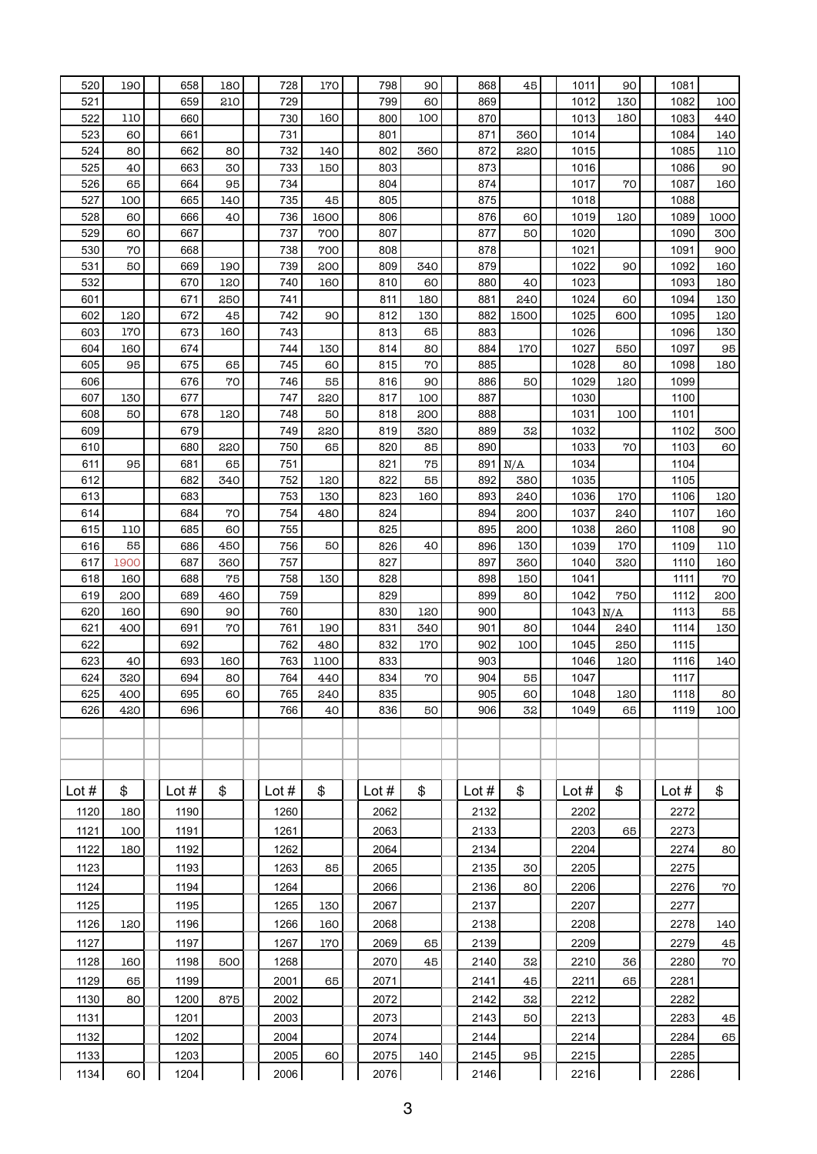| 520     | 190  | 658     | 180 | 728     | 170  | 798     | 90  | 868     | 45              | 1011       | 90  | 1081    |      |
|---------|------|---------|-----|---------|------|---------|-----|---------|-----------------|------------|-----|---------|------|
| 521     |      | 659     | 210 | 729     |      | 799     | 60  | 869     |                 | 1012       | 130 | 1082    | 100  |
| 522     | 110  | 660     |     | 730     | 160  | 800     | 100 | 870     |                 | 1013       | 180 | 1083    | 440  |
| 523     | 60   | 661     |     | 731     |      | 801     |     | 871     | 360             | 1014       |     | 1084    | 140  |
| 524     | 80   | 662     | 80  | 732     | 140  | 802     | 360 | 872     | 220             | 1015       |     | 1085    | 110  |
| 525     | 40   | 663     | 30  | 733     | 150  | 803     |     | 873     |                 | 1016       |     | 1086    | 90   |
| 526     | 65   | 664     | 95  | 734     |      | 804     |     | 874     |                 | 1017       | 70  | 1087    | 160  |
| 527     | 100  | 665     | 140 | 735     | 45   | 805     |     | 875     |                 | 1018       |     | 1088    |      |
| 528     | 60   | 666     | 40  | 736     | 1600 | 806     |     | 876     | 60              | 1019       | 120 | 1089    | 1000 |
| 529     | 60   | 667     |     | 737     | 700  | 807     |     | 877     | 50              | 1020       |     | 1090    | 300  |
| 530     | 70   | 668     |     | 738     | 700  | 808     |     | 878     |                 | 1021       |     | 1091    | 900  |
| 531     | 50   | 669     | 190 | 739     | 200  | 809     | 340 | 879     |                 | 1022       | 90  | 1092    | 160  |
| 532     |      | 670     | 120 | 740     | 160  | 810     | 60  | 880     | 40              | 1023       |     | 1093    | 180  |
| 601     |      | 671     | 250 | 741     |      | 811     | 180 | 881     | 240             | 1024       | 60  | 1094    | 130  |
| 602     | 120  | 672     | 45  | 742     | 90   | 812     | 130 | 882     | 1500            | 1025       | 600 | 1095    | 120  |
| 603     | 170  | 673     | 160 | 743     |      | 813     | 65  | 883     |                 | 1026       |     | 1096    | 130  |
| 604     | 160  | 674     |     | 744     | 130  | 814     | 80  | 884     | 170             | 1027       | 550 | 1097    | 95   |
| 605     | 95   | 675     | 65  | 745     | 60   | 815     | 70  | 885     |                 | 1028       | 80  | 1098    | 180  |
| 606     |      | 676     | 70  | 746     | 55   | 816     | 90  | 886     | 50              | 1029       | 120 | 1099    |      |
| 607     | 130  | 677     |     | 747     | 220  | 817     | 100 | 887     |                 | 1030       |     | 1100    |      |
| 608     | 50   | 678     | 120 | 748     | 50   | 818     | 200 | 888     |                 | 1031       | 100 | 1101    |      |
| 609     |      | 679     |     | 749     | 220  | 819     | 320 | 889     | 32              | 1032       |     | 1102    | 300  |
| 610     |      | 680     | 220 | 750     | 65   | 820     | 85  | 890     |                 | 1033       | 70  | 1103    | 60   |
| 611     | 95   | 681     | 65  | 751     |      | 821     | 75  |         | $891 \vert N/A$ | 1034       |     | 1104    |      |
| 612     |      | 682     | 340 | 752     | 120  | 822     | 55  | 892     | 380             | 1035       |     | 1105    |      |
| 613     |      | 683     |     | 753     | 130  | 823     | 160 | 893     | 240             | 1036       | 170 | 1106    | 120  |
| 614     |      | 684     | 70  | 754     | 480  | 824     |     | 894     | 200             | 1037       | 240 | 1107    | 160  |
| 615     | 110  | 685     | 60  | 755     |      | 825     |     | 895     | 200             | 1038       | 260 | 1108    | 90   |
| 616     | 55   | 686     | 450 | 756     | 50   | 826     | 40  | 896     | 130             | 1039       | 170 | 1109    | 110  |
| 617     | 1900 | 687     | 360 | 757     |      | 827     |     | 897     | 360             | 1040       | 320 | 1110    | 160  |
| 618     | 160  | 688     | 75  | 758     | 130  | 828     |     | 898     | 150             | 1041       |     | 1111    | 70   |
| 619     | 200  | 689     | 460 | 759     |      | 829     |     | 899     | 80              | 1042       | 750 | 1112    | 200  |
| 620     | 160  | 690     | 90  | 760     |      | 830     | 120 | 900     |                 | $1043$ N/A |     | 1113    | 55   |
| 621     | 400  | 691     | 70  | 761     | 190  | 831     | 340 | 901     | 80              | 1044       | 240 | 1114    | 130  |
| 622     |      | 692     |     | 762     | 480  | 832     | 170 | 902     | 100             | 1045       | 250 | 1115    |      |
| 623     | 40   | 693     | 160 | 763     | 1100 | 833     |     | 903     |                 | 1046       | 120 | 1116    | 140  |
| 624     | 320  | 694     | 80  | 764     | 440  | 834     | 70  | 904     | 55              | 1047       |     | 1117    |      |
| 625     | 400  | 695     | 60  | 765     | 240  | 835     |     | 905     | 60 <sup>1</sup> | 1048       | 120 | 1118    | 80   |
| 626     | 420  | 696     |     | 766     | 40   | 836     | 50  | 906     | 32              | 1049       | 65  | 1119    | 100  |
|         |      |         |     |         |      |         |     |         |                 |            |     |         |      |
|         |      |         |     |         |      |         |     |         |                 |            |     |         |      |
|         |      |         |     |         |      |         |     |         |                 |            |     |         |      |
| Lot $#$ | \$   | Lot $#$ | \$  | Lot $#$ | \$   | Lot $#$ | \$  | Lot $#$ | \$              | Lot $#$    | \$  | Lot $#$ | \$   |
| 1120    | 180  | 1190    |     | 1260    |      | 2062    |     | 2132    |                 | 2202       |     | 2272    |      |
| 1121    | 100  | 1191    |     | 1261    |      | 2063    |     | 2133    |                 | 2203       | 65  | 2273    |      |
|         | 180  |         |     |         |      |         |     |         |                 |            |     |         | 80   |
| 1122    |      | 1192    |     | 1262    |      | 2064    |     | 2134    |                 | 2204       |     | 2274    |      |
| 1123    |      | 1193    |     | 1263    | 85   | 2065    |     | 2135    | 30              | 2205       |     | 2275    |      |
| 1124    |      | 1194    |     | 1264    |      | 2066    |     | 2136    | 80              | 2206       |     | 2276    | 70   |
| 1125    |      | 1195    |     | 1265    | 130  | 2067    |     | 2137    |                 | 2207       |     | 2277    |      |
| 1126    | 120  | 1196    |     | 1266    | 160  | 2068    |     | 2138    |                 | 2208       |     | 2278    | 140  |
| 1127    |      | 1197    |     | 1267    | 170  | 2069    | 65  | 2139    |                 | 2209       |     | 2279    | 45   |
| 1128    | 160  | 1198    | 500 | 1268    |      | 2070    | 45  | 2140    | 32              | 2210       | 36  | 2280    | 70   |
| 1129    | 65   | 1199    |     | 2001    | 65   | 2071    |     | 2141    | 45              | 2211       | 65  | 2281    |      |
| 1130    | 80   | 1200    | 875 | 2002    |      | 2072    |     | 2142    | 32              | 2212       |     | 2282    |      |
| 1131    |      | 1201    |     | 2003    |      | 2073    |     | 2143    | 50              | 2213       |     | 2283    | 45   |
| 1132    |      | 1202    |     | 2004    |      | 2074    |     | 2144    |                 | 2214       |     | 2284    | 65   |
| 1133    |      | 1203    |     | 2005    | 60   | 2075    | 140 | 2145    | 95              | 2215       |     | 2285    |      |
| 1134    | 60   | 1204    |     | 2006    |      | 2076    |     | 2146    |                 | 2216       |     | 2286    |      |
|         |      |         |     |         |      |         |     |         |                 |            |     |         |      |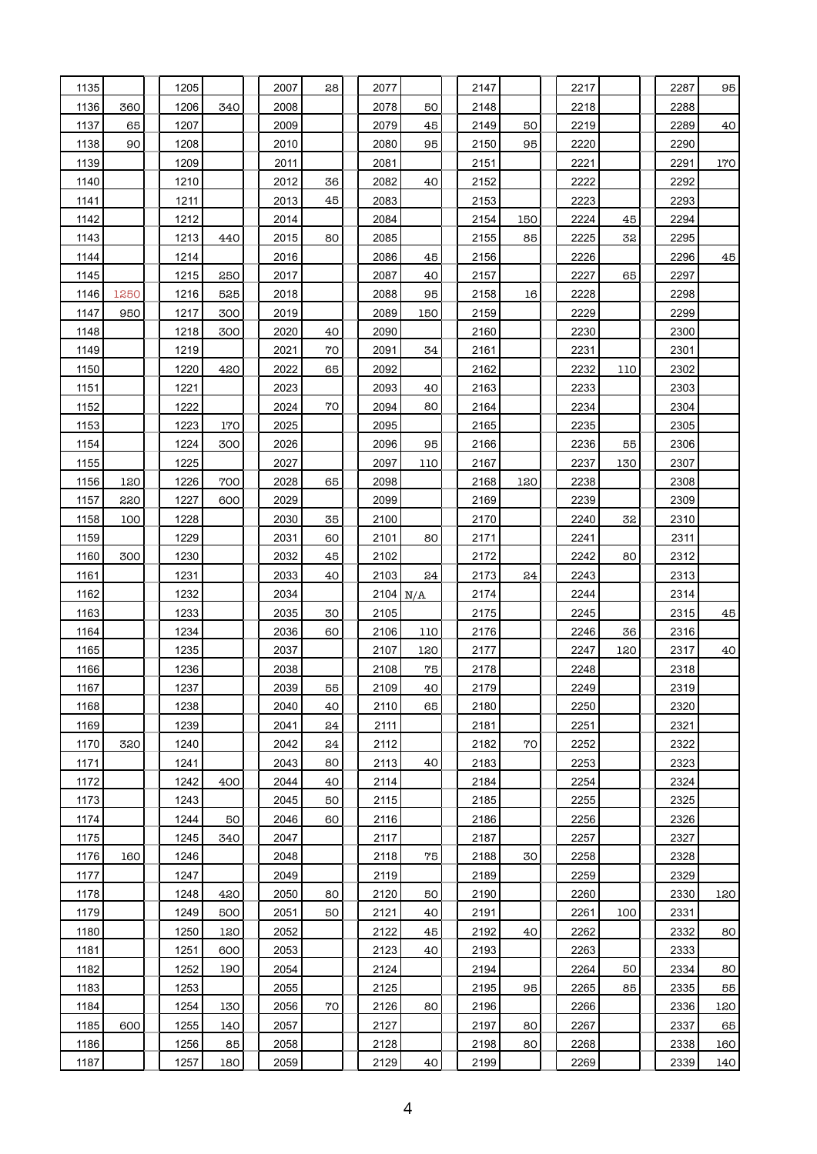| 1135 |      | 1205 |     | 2007 | 28 | 2077       |        | 2147 |     | 2217 |     | 2287 | 95  |
|------|------|------|-----|------|----|------------|--------|------|-----|------|-----|------|-----|
| 1136 | 360  | 1206 | 340 | 2008 |    | 2078       | 50     | 2148 |     | 2218 |     | 2288 |     |
| 1137 | 65   | 1207 |     | 2009 |    | 2079       | 45     | 2149 | 50  | 2219 |     | 2289 | 40  |
| 1138 | 90   | 1208 |     | 2010 |    | 2080       | 95     | 2150 | 95  | 2220 |     | 2290 |     |
| 1139 |      | 1209 |     | 2011 |    | 2081       |        | 2151 |     | 2221 |     | 2291 | 170 |
| 1140 |      | 1210 |     | 2012 | 36 | 2082       | 40     | 2152 |     | 2222 |     | 2292 |     |
| 1141 |      | 1211 |     | 2013 | 45 | 2083       |        | 2153 |     | 2223 |     | 2293 |     |
| 1142 |      | 1212 |     | 2014 |    | 2084       |        | 2154 | 150 | 2224 | 45  | 2294 |     |
| 1143 |      | 1213 | 440 | 2015 | 80 | 2085       |        | 2155 | 85  | 2225 | 32  | 2295 |     |
| 1144 |      | 1214 |     | 2016 |    | 2086       | 45     | 2156 |     | 2226 |     | 2296 | 45  |
| 1145 |      | 1215 | 250 | 2017 |    | 2087       | 40     | 2157 |     | 2227 | 65  | 2297 |     |
| 1146 | 1250 | 1216 | 525 | 2018 |    | 2088       | 95     | 2158 | 16  | 2228 |     | 2298 |     |
| 1147 | 950  | 1217 | 300 | 2019 |    | 2089       | 150    | 2159 |     | 2229 |     | 2299 |     |
| 1148 |      | 1218 | 300 | 2020 | 40 | 2090       |        | 2160 |     | 2230 |     | 2300 |     |
| 1149 |      | 1219 |     | 2021 | 70 | 2091       | 34     | 2161 |     | 2231 |     | 2301 |     |
| 1150 |      | 1220 | 420 | 2022 | 65 | 2092       |        | 2162 |     | 2232 | 110 | 2302 |     |
| 1151 |      | 1221 |     | 2023 |    | 2093       | 40     | 2163 |     | 2233 |     | 2303 |     |
| 1152 |      | 1222 |     | 2024 | 70 | 2094       | 80     | 2164 |     | 2234 |     | 2304 |     |
| 1153 |      | 1223 | 170 | 2025 |    | 2095       |        | 2165 |     | 2235 |     | 2305 |     |
| 1154 |      | 1224 | 300 | 2026 |    | 2096       | 95     | 2166 |     | 2236 | 55  | 2306 |     |
| 1155 |      | 1225 |     | 2027 |    | 2097       | 110    | 2167 |     | 2237 | 130 | 2307 |     |
| 1156 | 120  | 1226 | 700 | 2028 | 65 | 2098       |        | 2168 | 120 | 2238 |     | 2308 |     |
| 1157 | 220  | 1227 | 600 | 2029 |    | 2099       |        | 2169 |     | 2239 |     | 2309 |     |
| 1158 | 100  | 1228 |     | 2030 | 35 | 2100       |        | 2170 |     | 2240 | 32  | 2310 |     |
| 1159 |      | 1229 |     | 2031 | 60 | 2101       | 80     | 2171 |     | 2241 |     | 2311 |     |
| 1160 | 300  | 1230 |     | 2032 | 45 | 2102       |        | 2172 |     | 2242 | 80  | 2312 |     |
| 1161 |      | 1231 |     | 2033 | 40 | 2103       | 24     | 2173 | 24  | 2243 |     | 2313 |     |
| 1162 |      | 1232 |     | 2034 |    | $2104$ N/A |        | 2174 |     | 2244 |     | 2314 |     |
| 1163 |      | 1233 |     | 2035 | 30 | 2105       |        | 2175 |     | 2245 |     | 2315 | 45  |
| 1164 |      | 1234 |     | 2036 | 60 | 2106       | 110    | 2176 |     | 2246 | 36  | 2316 |     |
| 1165 |      | 1235 |     | 2037 |    | 2107       | 120    | 2177 |     | 2247 | 120 | 2317 | 40  |
| 1166 |      | 1236 |     | 2038 |    | 2108       | 75     | 2178 |     | 2248 |     | 2318 |     |
| 1167 |      | 1237 |     | 2039 | 55 | 2109       | 40     | 2179 |     | 2249 |     | 2319 |     |
| 1168 |      | 1238 |     | 2040 | 40 | 2110       | 65     | 2180 |     | 2250 |     | 2320 |     |
| 1169 |      | 1239 |     | 2041 | 24 | 2111       |        | 2181 |     | 2251 |     | 2321 |     |
| 1170 | 320  | 1240 |     | 2042 | 24 | 2112       |        | 2182 | 70  | 2252 |     | 2322 |     |
| 1171 |      | 1241 |     | 2043 | 80 | 2113       | 40     | 2183 |     | 2253 |     | 2323 |     |
| 1172 |      | 1242 | 400 | 2044 | 40 | 2114       |        | 2184 |     | 2254 |     | 2324 |     |
| 1173 |      | 1243 |     | 2045 | 50 | 2115       |        | 2185 |     | 2255 |     | 2325 |     |
| 1174 |      | 1244 | 50  | 2046 | 60 | 2116       |        | 2186 |     | 2256 |     | 2326 |     |
| 1175 |      | 1245 | 340 | 2047 |    | 2117       |        | 2187 |     | 2257 |     | 2327 |     |
| 1176 | 160  | 1246 |     | 2048 |    | 2118       | $75\,$ | 2188 | 30  | 2258 |     | 2328 |     |
| 1177 |      | 1247 |     | 2049 |    | 2119       |        | 2189 |     | 2259 |     | 2329 |     |
| 1178 |      | 1248 | 420 | 2050 | 80 | 2120       | 50     | 2190 |     | 2260 |     | 2330 | 120 |
| 1179 |      | 1249 | 500 | 2051 | 50 | 2121       | 40     | 2191 |     | 2261 | 100 | 2331 |     |
| 1180 |      | 1250 | 120 | 2052 |    | 2122       | 45     | 2192 | 40  | 2262 |     | 2332 | 80  |
| 1181 |      | 1251 | 600 | 2053 |    | 2123       | 40     | 2193 |     | 2263 |     | 2333 |     |
| 1182 |      | 1252 | 190 | 2054 |    | 2124       |        | 2194 |     | 2264 | 50  | 2334 | 80  |
| 1183 |      | 1253 |     | 2055 |    | 2125       |        | 2195 | 95  | 2265 | 85  | 2335 | 55  |
| 1184 |      | 1254 | 130 | 2056 | 70 | 2126       | 80     | 2196 |     | 2266 |     | 2336 | 120 |
| 1185 | 600  | 1255 | 140 | 2057 |    | 2127       |        | 2197 | 80  | 2267 |     | 2337 | 65  |
| 1186 |      | 1256 | 85  | 2058 |    | 2128       |        | 2198 | 80  | 2268 |     | 2338 | 160 |
| 1187 |      | 1257 | 180 | 2059 |    | 2129       | 40     | 2199 |     | 2269 |     | 2339 | 140 |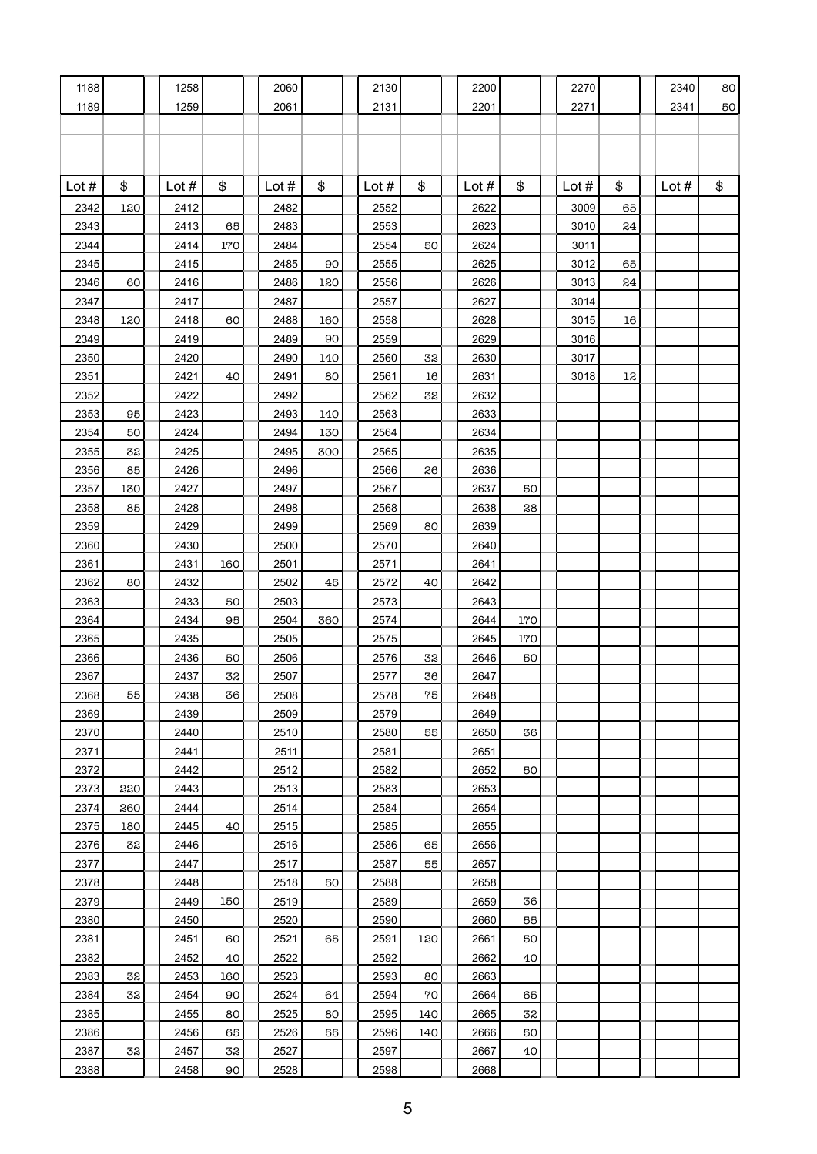| 1188    |     | 1258    |                 | 2060    |     | 2130    |     | 2200    |     | 2270    |               | 2340    | 80 |
|---------|-----|---------|-----------------|---------|-----|---------|-----|---------|-----|---------|---------------|---------|----|
| 1189    |     | 1259    |                 | 2061    |     | 2131    |     | 2201    |     | 2271    |               | 2341    | 50 |
|         |     |         |                 |         |     |         |     |         |     |         |               |         |    |
|         |     |         |                 |         |     |         |     |         |     |         |               |         |    |
|         |     |         |                 |         |     |         |     |         |     |         |               |         |    |
|         |     |         |                 |         |     |         |     |         |     |         |               |         |    |
| Lot $#$ | \$  | Lot $#$ | \$              | Lot $#$ | \$  | Lot $#$ | \$  | Lot $#$ | \$  | Lot $#$ | \$            | Lot $#$ | \$ |
| 2342    | 120 | 2412    |                 | 2482    |     | 2552    |     | 2622    |     | 3009    | 65            |         |    |
| 2343    |     | 2413    | 65              | 2483    |     | 2553    |     | 2623    |     | 3010    | 24            |         |    |
| 2344    |     | 2414    | 170             | 2484    |     | 2554    | 50  | 2624    |     | 3011    |               |         |    |
| 2345    |     | 2415    |                 | 2485    | 90  | 2555    |     | 2625    |     | 3012    | 65            |         |    |
| 2346    | 60  | 2416    |                 | 2486    | 120 | 2556    |     | 2626    |     | 3013    | $\mathbf{24}$ |         |    |
| 2347    |     | 2417    |                 | 2487    |     | 2557    |     | 2627    |     | 3014    |               |         |    |
| 2348    | 120 | 2418    | 60              | 2488    | 160 | 2558    |     | 2628    |     | 3015    | 16            |         |    |
| 2349    |     | 2419    |                 | 2489    | 90  | 2559    |     | 2629    |     | 3016    |               |         |    |
| 2350    |     | 2420    |                 | 2490    | 140 | 2560    | 32  | 2630    |     | 3017    |               |         |    |
| 2351    |     | 2421    | 40              | 2491    | 80  | 2561    | 16  | 2631    |     | 3018    | 12            |         |    |
| 2352    |     | 2422    |                 | 2492    |     | 2562    | 32  | 2632    |     |         |               |         |    |
| 2353    | 95  | 2423    |                 | 2493    | 140 | 2563    |     | 2633    |     |         |               |         |    |
| 2354    | 50  | 2424    |                 | 2494    | 130 | 2564    |     | 2634    |     |         |               |         |    |
| 2355    | 32  | 2425    |                 | 2495    | 300 | 2565    |     | 2635    |     |         |               |         |    |
| 2356    | 85  | 2426    |                 | 2496    |     | 2566    | 26  | 2636    |     |         |               |         |    |
| 2357    | 130 | 2427    |                 | 2497    |     | 2567    |     | 2637    | 50  |         |               |         |    |
| 2358    | 85  | 2428    |                 | 2498    |     | 2568    |     | 2638    | 28  |         |               |         |    |
| 2359    |     | 2429    |                 | 2499    |     | 2569    | 80  | 2639    |     |         |               |         |    |
| 2360    |     | 2430    |                 | 2500    |     | 2570    |     | 2640    |     |         |               |         |    |
| 2361    |     | 2431    | 160             | 2501    |     | 2571    |     | 2641    |     |         |               |         |    |
| 2362    | 80  | 2432    |                 | 2502    | 45  | 2572    | 40  | 2642    |     |         |               |         |    |
| 2363    |     | 2433    | 50              | 2503    |     | 2573    |     | 2643    |     |         |               |         |    |
| 2364    |     | 2434    | 95              | 2504    | 360 | 2574    |     | 2644    | 170 |         |               |         |    |
| 2365    |     | 2435    |                 | 2505    |     | 2575    |     | 2645    | 170 |         |               |         |    |
| 2366    |     | 2436    | 50              | 2506    |     | 2576    | 32  | 2646    | 50  |         |               |         |    |
| 2367    |     | 2437    | 32              | 2507    |     | 2577    | 36  | 2647    |     |         |               |         |    |
| 2368    | 55  | 2438    | 36              | 2508    |     | 2578    | 75  | 2648    |     |         |               |         |    |
| 2369    |     | 2439    |                 | 2509    |     | 2579    |     | 2649    |     |         |               |         |    |
| 2370    |     | 2440    |                 | 2510    |     | 2580    | 55  | 2650    | 36  |         |               |         |    |
| 2371    |     | 2441    |                 | 2511    |     | 2581    |     | 2651    |     |         |               |         |    |
| 2372    |     | 2442    |                 | 2512    |     | 2582    |     | 2652    | 50  |         |               |         |    |
| 2373    | 220 | 2443    |                 | 2513    |     | 2583    |     | 2653    |     |         |               |         |    |
| 2374    | 260 | 2444    |                 | 2514    |     | 2584    |     | 2654    |     |         |               |         |    |
| 2375    | 180 | 2445    | 40              | 2515    |     | 2585    |     | 2655    |     |         |               |         |    |
| 2376    | 32  | 2446    |                 | 2516    |     | 2586    | 65  | 2656    |     |         |               |         |    |
| 2377    |     | 2447    |                 | 2517    |     | 2587    | 55  | 2657    |     |         |               |         |    |
| 2378    |     | 2448    |                 | 2518    | 50  | 2588    |     | 2658    |     |         |               |         |    |
| 2379    |     | 2449    | 150             | 2519    |     | 2589    |     | 2659    | 36  |         |               |         |    |
|         |     |         |                 |         |     |         |     |         |     |         |               |         |    |
| 2380    |     | 2450    |                 | 2520    |     | 2590    |     | 2660    | 55  |         |               |         |    |
| 2381    |     | 2451    | 60              | 2521    | 65  | 2591    | 120 | 2661    | 50  |         |               |         |    |
| 2382    |     | 2452    | 40              | 2522    |     | 2592    |     | 2662    | 40  |         |               |         |    |
| 2383    | 32  | 2453    | 160             | 2523    |     | 2593    | 80  | 2663    |     |         |               |         |    |
| 2384    | 32  | 2454    | 90              | 2524    | 64  | 2594    | 70  | 2664    | 65  |         |               |         |    |
| 2385    |     | 2455    | 80              | 2525    | 80  | 2595    | 140 | 2665    | 32  |         |               |         |    |
| 2386    |     | 2456    | 65              | 2526    | 55  | 2596    | 140 | 2666    | 50  |         |               |         |    |
| 2387    | 32  | 2457    | 32              | 2527    |     | 2597    |     | 2667    | 40  |         |               |         |    |
| 2388    |     | 2458    | 90 <sup>°</sup> | 2528    |     | 2598    |     | 2668    |     |         |               |         |    |